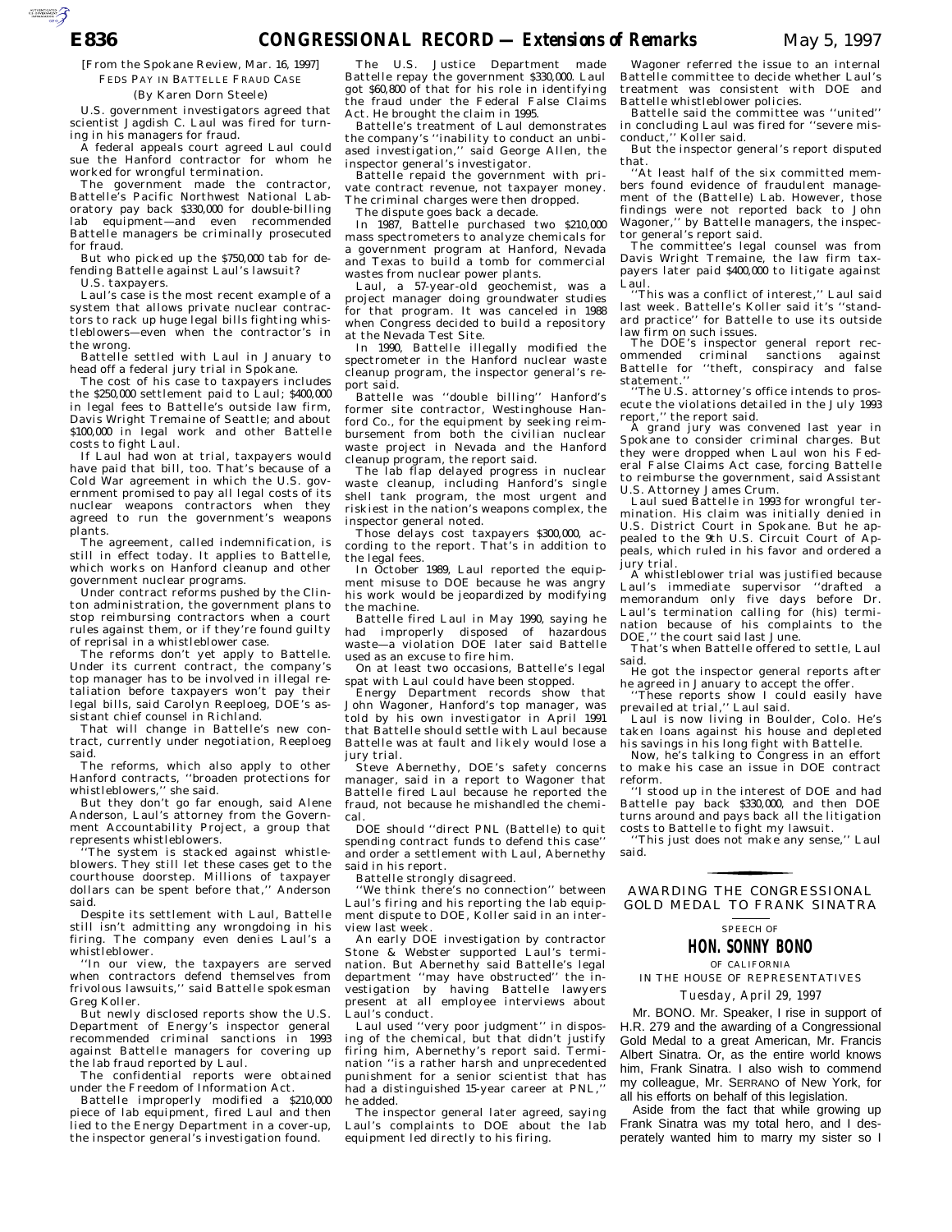[From the Spokane Review, Mar. 16, 1997] FEDS PAY IN BATTELLE FRAUD CASE

#### (By Karen Dorn Steele)

U.S. government investigators agreed that scientist Jagdish C. Laul was fired for turning in his managers for fraud.

A federal appeals court agreed Laul could sue the Hanford contractor for whom he worked for wrongful termination.

The government made the contractor, Battelle's Pacific Northwest National Laboratory pay back \$330,000 for double-billing lab equipment—and even recommended Battelle managers be criminally prosecuted for fraud.

But who picked up the \$750,000 tab for defending Battelle against Laul's lawsuit? U.S. taxpayers.

Laul's case is the most recent example of a system that allows private nuclear contractors to rack up huge legal bills fighting whistleblowers—even when the contractor's in the wrong.

Battelle settled with Laul in January to head off a federal jury trial in Spokane.

The cost of his case to taxpayers includes the \$250,000 settlement paid to Laul; \$400,000 in legal fees to Battelle's outside law firm, Davis Wright Tremaine of Seattle; and about \$100,000 in legal work and other Battelle costs to fight Laul.

If Laul had won at trial, taxpayers would have paid that bill, too. That's because of a Cold War agreement in which the U.S. government promised to pay all legal costs of its nuclear weapons contractors when they agreed to run the government's weapons plants.

The agreement, called indemnification, is still in effect today. It applies to Battelle, which works on Hanford cleanup and other government nuclear programs.

Under contract reforms pushed by the Clinton administration, the government plans to stop reimbursing contractors when a court rules against them, or if they're found guilty of reprisal in a whistleblower case.

The reforms don't yet apply to Battelle. Under its current contract, the company's top manager has to be involved in illegal retaliation before taxpayers won't pay their legal bills, said Carolyn Reeploeg, DOE's assistant chief counsel in Richland.

That will change in Battelle's new contract, currently under negotiation, Reeploeg said.

The reforms, which also apply to other Hanford contracts, ''broaden protections for

whistleblowers,'' she said. But they don't go far enough, said Alene Anderson, Laul's attorney from the Government Accountability Project, a group that represents whistleblowers.

'The system is stacked against whistleblowers. They still let these cases get to the courthouse doorstep. Millions of taxpayer dollars can be spent before that,'' Anderson said.

Despite its settlement with Laul, Battelle still isn't admitting any wrongdoing in his firing. The company even denies Laul's a whistleblower.

''In our view, the taxpayers are served when contractors defend themselves from frivolous lawsuits,'' said Battelle spokesman Greg Koller.

But newly disclosed reports show the U.S. Department of Energy's inspector general recommended criminal sanctions in 1993 against Battelle managers for covering up the lab fraud reported by Laul.

The confidential reports were obtained under the Freedom of Information Act.

Battelle improperly modified a \$210,000 piece of lab equipment, fired Laul and then lied to the Energy Department in a cover-up, the inspector general's investigation found.

The U.S. Justice Department made Battelle repay the government \$330,000. Laul got \$60,800 of that for his role in identifying the fraud under the Federal False Claims Act. He brought the claim in 1995.

Battelle's treatment of Laul demonstrates the company's ''inability to conduct an unbiased investigation,'' said George Allen, the inspector general's investigator.

Battelle repaid the government with private contract revenue, not taxpayer money. The criminal charges were then dropped.

The dispute goes back a decade.

In 1987, Battelle purchased two \$210,000 mass spectrometers to analyze chemicals for a government program at Hanford, Nevada and Texas to build a tomb for commercial wastes from nuclear power plants.

Laul, a 57-year-old geochemist, was a project manager doing groundwater studies for that program. It was canceled in 1988 when Congress decided to build a repository at the Nevada Test Site.

In 1990, Battelle illegally modified the spectrometer in the Hanford nuclear waste cleanup program, the inspector general's report said.

Battelle was ''double billing'' Hanford's former site contractor, Westinghouse Hanford Co., for the equipment by seeking reimbursement from both the civilian nuclear waste project in Nevada and the Hanford cleanup program, the report said.

The lab flap delayed progress in nuclear waste cleanup, including Hanford's single shell tank program, the most urgent and riskiest in the nation's weapons complex, the inspector general noted.

Those delays cost taxpayers \$300,000, according to the report. That's in addition to the legal fees.

In October 1989, Laul reported the equipment misuse to DOE because he was angry his work would be jeopardized by modifying the machine.

Battelle fired Laul in May 1990, saying he had improperly disposed of hazardous waste—a violation DOE later said Battelle used as an excuse to fire him.

On at least two occasions, Battelle's legal spat with Laul could have been stopped.

Energy Department records show that John Wagoner, Hanford's top manager, was told by his own investigator in April 1991 that Battelle should settle with Laul because Battelle was at fault and likely would lose a jury trial.

Steve Abernethy, DOE's safety concerns manager, said in a report to Wagoner that Battelle fired Laul because he reported the fraud, not because he mishandled the chemical.

DOE should ''direct PNL (Battelle) to quit spending contract funds to defend this case'' and order a settlement with Laul, Abernethy said in his report.

Battelle strongly disagreed.

''We think there's no connection'' between Laul's firing and his reporting the lab equipment dispute to DOE, Koller said in an interview last week.

An early DOE investigation by contractor Stone & Webster supported Laul's termination. But Abernethy said Battelle's legal department ''may have obstructed'' the investigation by having Battelle lawyers present at all employee interviews about Laul's conduct.

Laul used ''very poor judgment'' in disposing of the chemical, but that didn't justify firing him, Abernethy's report said. Termination ''is a rather harsh and unprecedented punishment for a senior scientist that has had a distinguished 15-year career at PNL, he added.

The inspector general later agreed, saying Laul's complaints to DOE about the lab equipment led directly to his firing.

Wagoner referred the issue to an internal Battelle committee to decide whether Laul's treatment was consistent with DOE and Battelle whistleblower policies.

Battelle said the committee was ''united'' in concluding Laul was fired for ''severe misconduct,'' Koller said.

But the inspector general's report disputed that.

''At least half of the six committed members found evidence of fraudulent management of the (Battelle) Lab. However, those findings were not reported back to John Wagoner,'' by Battelle managers, the inspector general's report said.

The committee's legal counsel was from Davis Wright Tremaine, the law firm taxpayers later paid \$400,000 to litigate against Laul.

''This was a conflict of interest,'' Laul said last week. Battelle's Koller said it's ''standard practice'' for Battelle to use its outside law firm on such issues.

The DOE's inspector general report recommended criminal sanctions against Battelle for ''theft, conspiracy and false

statement.'' ''The U.S. attorney's office intends to prosecute the violations detailed in the July  $1993$ report,'' the report said.

A grand jury was convened last year in Spokane to consider criminal charges. But they were dropped when Laul won his Federal False Claims Act case, forcing Battelle to reimburse the government, said Assistant U.S. Attorney James Crum.

Laul sued Battelle in 1993 for wrongful termination. His claim was initially denied in U.S. District Court in Spokane. But he appealed to the 9th U.S. Circuit Court of Appeals, which ruled in his favor and ordered a jury trial.

A whistleblower trial was justified because Laul's immediate supervisor ''drafted a memorandum only five days before Dr. Laul's termination calling for (his) termination because of his complaints to the DOE,'' the court said last June.

That's when Battelle offered to settle, Laul said.

He got the inspector general reports after he agreed in January to accept the offer.

''These reports show I could easily have prevailed at trial,'' Laul said.

Laul is now living in Boulder, Colo. He's taken loans against his house and depleted his savings in his long fight with Battelle.

Now, he's talking to Congress in an effort to make his case an issue in DOE contract reform.

''I stood up in the interest of DOE and had Battelle pay back \$330,000, and then DOE turns around and pays back all the litigation costs to Battelle to fight my lawsuit.

'This just does not make any sense,'' Laul said. for the control of the control of

GOLD MEDAL TO FRANK SINATRA AWARDING THE CONGRESSIONAL

### SPEECH OF **HON. SONNY BONO**

OF CALIFORNIA

IN THE HOUSE OF REPRESENTATIVES *Tuesday, April 29, 1997*

Mr. BONO. Mr. Speaker, I rise in support of H.R. 279 and the awarding of a Congressional Gold Medal to a great American, Mr. Francis Albert Sinatra. Or, as the entire world knows him, Frank Sinatra. I also wish to commend my colleague, Mr. SERRANO of New York, for all his efforts on behalf of this legislation.

Aside from the fact that while growing up Frank Sinatra was my total hero, and I desperately wanted him to marry my sister so I

AUTOROTOMICALE CONTINUES